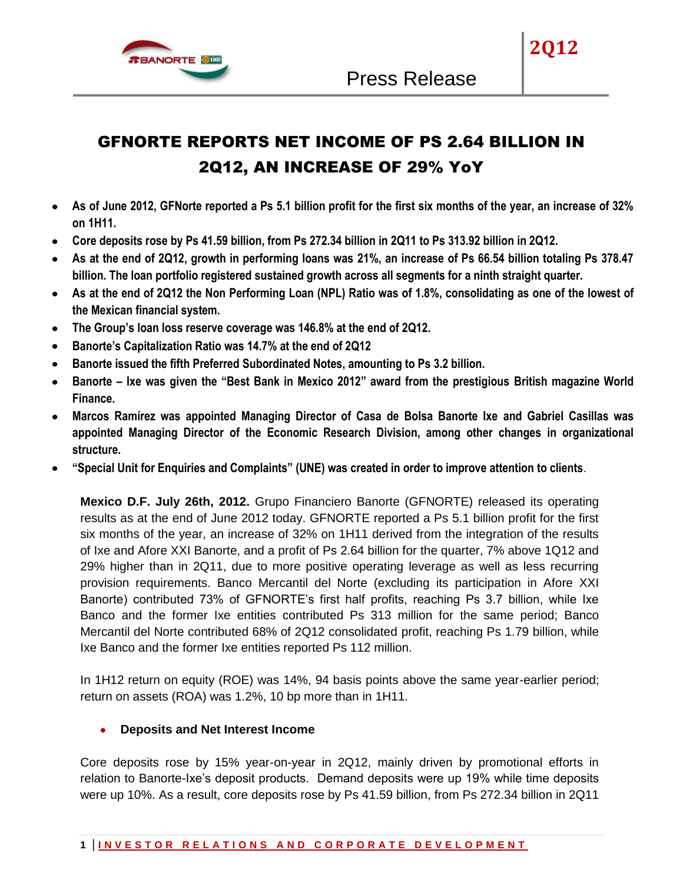

# GFNORTE REPORTS NET INCOME OF PS 2.64 BILLION IN 2Q12, AN INCREASE OF 29% YoY

- **As of June 2012, GFNorte reported a Ps 5.1 billion profit for the first six months of the year, an increase of 32%**   $\bullet$ **on 1H11.**
- **Core deposits rose by Ps 41.59 billion, from Ps 272.34 billion in 2Q11 to Ps 313.92 billion in 2Q12.**
- **As at the end of 2Q12, growth in performing loans was 21%, an increase of Ps 66.54 billion totaling Ps 378.47 billion. The loan portfolio registered sustained growth across all segments for a ninth straight quarter.**
- **As at the end of 2Q12 the Non Performing Loan (NPL) Ratio was of 1.8%, consolidating as one of the lowest of**   $\bullet$ **the Mexican financial system.**
- **The Group's loan loss reserve coverage was 146.8% at the end of 2Q12.**  $\bullet$
- **Banorte's Capitalization Ratio was 14.7% at the end of 2Q12**
- **Banorte issued the fifth Preferred Subordinated Notes, amounting to Ps 3.2 billion.**  $\bullet$
- **Banorte – Ixe was given the "Best Bank in Mexico 2012" award from the prestigious British magazine World**   $\bullet$ **Finance.**
- **Marcos Ramírez was appointed Managing Director of Casa de Bolsa Banorte Ixe and Gabriel Casillas was**   $\bullet$ **appointed Managing Director of the Economic Research Division, among other changes in organizational structure.**
- **"Special Unit for Enquiries and Complaints" (UNE) was created in order to improve attention to clients**.

**Mexico D.F. July 26th, 2012.** Grupo Financiero Banorte (GFNORTE) released its operating results as at the end of June 2012 today. GFNORTE reported a Ps 5.1 billion profit for the first six months of the year, an increase of 32% on 1H11 derived from the integration of the results of Ixe and Afore XXI Banorte, and a profit of Ps 2.64 billion for the quarter, 7% above 1Q12 and 29% higher than in 2Q11, due to more positive operating leverage as well as less recurring provision requirements. Banco Mercantil del Norte (excluding its participation in Afore XXI Banorte) contributed 73% of GFNORTE's first half profits, reaching Ps 3.7 billion, while Ixe Banco and the former Ixe entities contributed Ps 313 million for the same period; Banco Mercantil del Norte contributed 68% of 2Q12 consolidated profit, reaching Ps 1.79 billion, while Ixe Banco and the former Ixe entities reported Ps 112 million.

In 1H12 return on equity (ROE) was 14%, 94 basis points above the same year-earlier period; return on assets (ROA) was 1.2%, 10 bp more than in 1H11.

# **Deposits and Net Interest Income**

Core deposits rose by 15% year-on-year in 2Q12, mainly driven by promotional efforts in relation to Banorte-Ixe's deposit products. Demand deposits were up 19% while time deposits were up 10%. As a result, core deposits rose by Ps 41.59 billion, from Ps 272.34 billion in 2Q11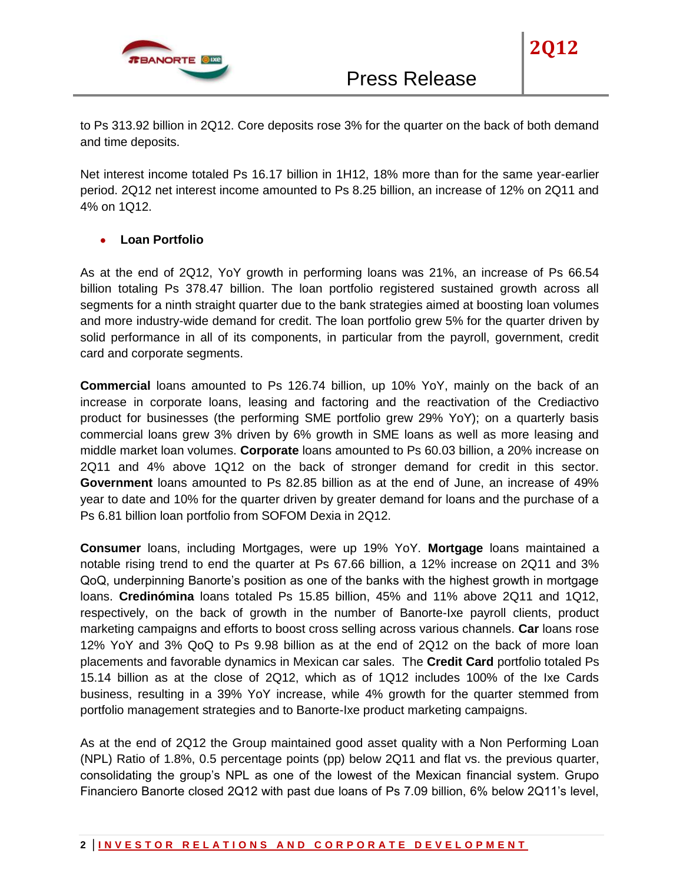

to Ps 313.92 billion in 2Q12. Core deposits rose 3% for the quarter on the back of both demand and time deposits.

Net interest income totaled Ps 16.17 billion in 1H12, 18% more than for the same year-earlier period. 2Q12 net interest income amounted to Ps 8.25 billion, an increase of 12% on 2Q11 and 4% on 1Q12.

# **Loan Portfolio**

As at the end of 2Q12, YoY growth in performing loans was 21%, an increase of Ps 66.54 billion totaling Ps 378.47 billion. The loan portfolio registered sustained growth across all segments for a ninth straight quarter due to the bank strategies aimed at boosting loan volumes and more industry-wide demand for credit. The loan portfolio grew 5% for the quarter driven by solid performance in all of its components, in particular from the payroll, government, credit card and corporate segments.

**Commercial** loans amounted to Ps 126.74 billion, up 10% YoY, mainly on the back of an increase in corporate loans, leasing and factoring and the reactivation of the Crediactivo product for businesses (the performing SME portfolio grew 29% YoY); on a quarterly basis commercial loans grew 3% driven by 6% growth in SME loans as well as more leasing and middle market loan volumes. **Corporate** loans amounted to Ps 60.03 billion, a 20% increase on 2Q11 and 4% above 1Q12 on the back of stronger demand for credit in this sector. **Government** loans amounted to Ps 82.85 billion as at the end of June, an increase of 49% year to date and 10% for the quarter driven by greater demand for loans and the purchase of a Ps 6.81 billion loan portfolio from SOFOM Dexia in 2Q12.

**Consumer** loans, including Mortgages, were up 19% YoY. **Mortgage** loans maintained a notable rising trend to end the quarter at Ps 67.66 billion, a 12% increase on 2Q11 and 3% QoQ, underpinning Banorte's position as one of the banks with the highest growth in mortgage loans. **Credinómina** loans totaled Ps 15.85 billion, 45% and 11% above 2Q11 and 1Q12, respectively, on the back of growth in the number of Banorte-Ixe payroll clients, product marketing campaigns and efforts to boost cross selling across various channels. **Car** loans rose 12% YoY and 3% QoQ to Ps 9.98 billion as at the end of 2Q12 on the back of more loan placements and favorable dynamics in Mexican car sales. The **Credit Card** portfolio totaled Ps 15.14 billion as at the close of 2Q12, which as of 1Q12 includes 100% of the Ixe Cards business, resulting in a 39% YoY increase, while 4% growth for the quarter stemmed from portfolio management strategies and to Banorte-Ixe product marketing campaigns.

As at the end of 2Q12 the Group maintained good asset quality with a Non Performing Loan (NPL) Ratio of 1.8%, 0.5 percentage points (pp) below 2Q11 and flat vs. the previous quarter, consolidating the group's NPL as one of the lowest of the Mexican financial system. Grupo Financiero Banorte closed 2Q12 with past due loans of Ps 7.09 billion, 6% below 2Q11's level,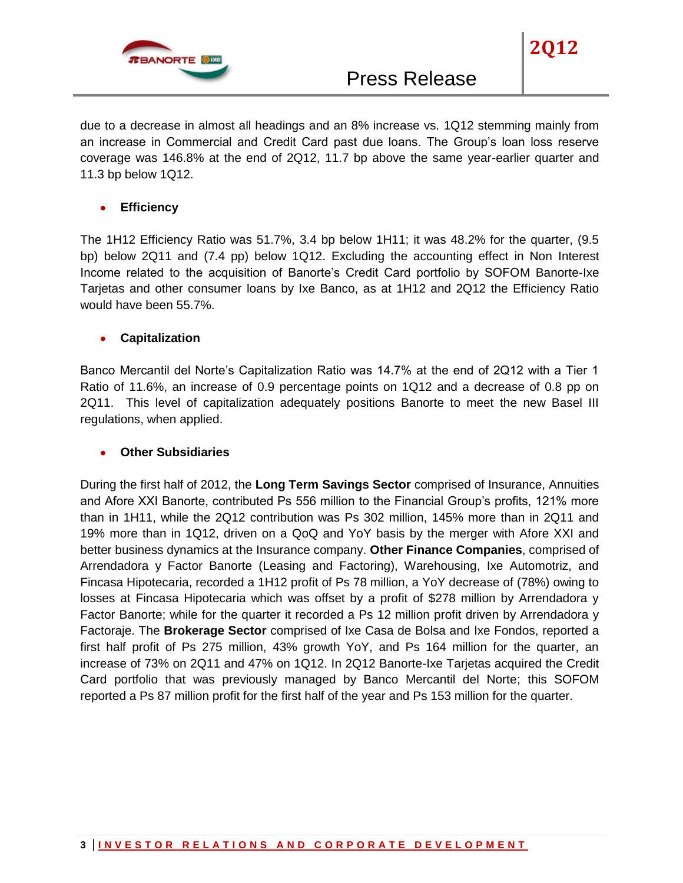

due to a decrease in almost all headings and an 8% increase vs. 1Q12 stemming mainly from an increase in Commercial and Credit Card past due loans. The Group's loan loss reserve coverage was 146.8% at the end of 2Q12, 11.7 bp above the same year-earlier quarter and 11.3 bp below 1Q12.

#### $\bullet$ **Efficiency**

The 1H12 Efficiency Ratio was 51.7%, 3.4 bp below 1H11; it was 48.2% for the quarter, (9.5 bp) below 2Q11 and (7.4 pp) below 1Q12. Excluding the accounting effect in Non Interest Income related to the acquisition of Banorte's Credit Card portfolio by SOFOM Banorte-Ixe Tarjetas and other consumer loans by Ixe Banco, as at 1H12 and 2Q12 the Efficiency Ratio would have been 55.7%.

### **Capitalization**

Banco Mercantil del Norte's Capitalization Ratio was 14.7% at the end of 2Q12 with a Tier 1 Ratio of 11.6%, an increase of 0.9 percentage points on 1Q12 and a decrease of 0.8 pp on 2Q11. This level of capitalization adequately positions Banorte to meet the new Basel III regulations, when applied.

# **Other Subsidiaries**

During the first half of 2012, the **Long Term Savings Sector** comprised of Insurance, Annuities and Afore XXI Banorte, contributed Ps 556 million to the Financial Group's profits, 121% more than in 1H11, while the 2Q12 contribution was Ps 302 million, 145% more than in 2Q11 and 19% more than in 1Q12, driven on a QoQ and YoY basis by the merger with Afore XXI and better business dynamics at the Insurance company. **Other Finance Companies**, comprised of Arrendadora y Factor Banorte (Leasing and Factoring), Warehousing, Ixe Automotriz, and Fincasa Hipotecaria, recorded a 1H12 profit of Ps 78 million, a YoY decrease of (78%) owing to losses at Fincasa Hipotecaria which was offset by a profit of \$278 million by Arrendadora y Factor Banorte; while for the quarter it recorded a Ps 12 million profit driven by Arrendadora y Factoraje. The **Brokerage Sector** comprised of Ixe Casa de Bolsa and Ixe Fondos, reported a first half profit of Ps 275 million, 43% growth YoY, and Ps 164 million for the quarter, an increase of 73% on 2Q11 and 47% on 1Q12. In 2Q12 Banorte-Ixe Tarjetas acquired the Credit Card portfolio that was previously managed by Banco Mercantil del Norte; this SOFOM reported a Ps 87 million profit for the first half of the year and Ps 153 million for the quarter.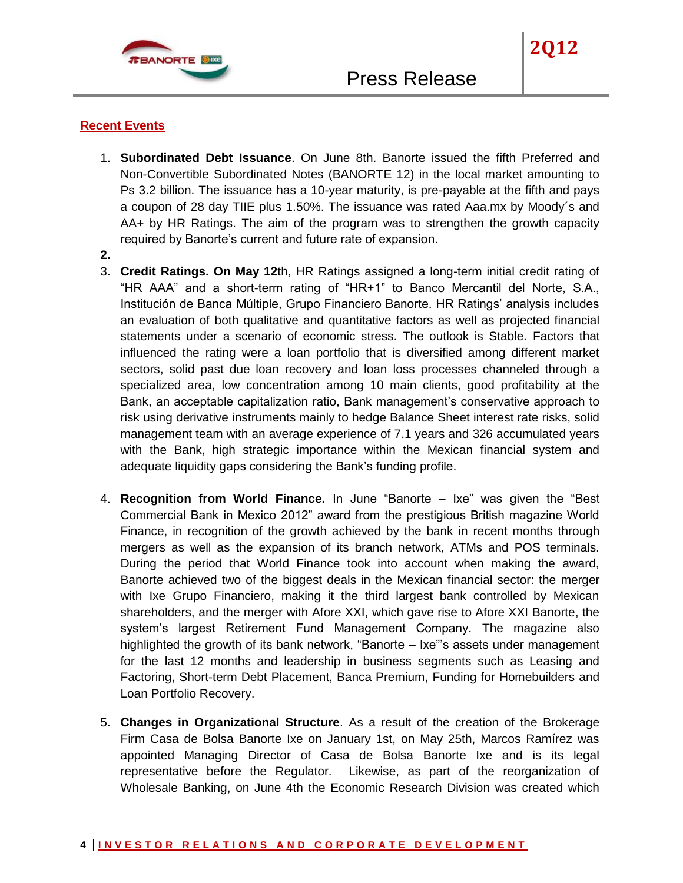

## **Recent Events**

- 1. **Subordinated Debt Issuance**. On June 8th. Banorte issued the fifth Preferred and Non-Convertible Subordinated Notes (BANORTE 12) in the local market amounting to Ps 3.2 billion. The issuance has a 10-year maturity, is pre-payable at the fifth and pays a coupon of 28 day TIIE plus 1.50%. The issuance was rated Aaa.mx by Moody´s and AA+ by HR Ratings. The aim of the program was to strengthen the growth capacity required by Banorte's current and future rate of expansion.
- **2.**
- 3. **Credit Ratings. On May 12**th, HR Ratings assigned a long-term initial credit rating of "HR AAA" and a short-term rating of "HR+1" to Banco Mercantil del Norte, S.A., Institución de Banca Múltiple, Grupo Financiero Banorte. HR Ratings' analysis includes an evaluation of both qualitative and quantitative factors as well as projected financial statements under a scenario of economic stress. The outlook is Stable. Factors that influenced the rating were a loan portfolio that is diversified among different market sectors, solid past due loan recovery and loan loss processes channeled through a specialized area, low concentration among 10 main clients, good profitability at the Bank, an acceptable capitalization ratio, Bank management's conservative approach to risk using derivative instruments mainly to hedge Balance Sheet interest rate risks, solid management team with an average experience of 7.1 years and 326 accumulated years with the Bank, high strategic importance within the Mexican financial system and adequate liquidity gaps considering the Bank's funding profile.
- 4. **Recognition from World Finance.** In June "Banorte Ixe" was given the "Best Commercial Bank in Mexico 2012" award from the prestigious British magazine World Finance, in recognition of the growth achieved by the bank in recent months through mergers as well as the expansion of its branch network, ATMs and POS terminals. During the period that World Finance took into account when making the award, Banorte achieved two of the biggest deals in the Mexican financial sector: the merger with Ixe Grupo Financiero, making it the third largest bank controlled by Mexican shareholders, and the merger with Afore XXI, which gave rise to Afore XXI Banorte, the system's largest Retirement Fund Management Company. The magazine also highlighted the growth of its bank network, "Banorte – Ixe"'s assets under management for the last 12 months and leadership in business segments such as Leasing and Factoring, Short-term Debt Placement, Banca Premium, Funding for Homebuilders and Loan Portfolio Recovery.
- 5. **Changes in Organizational Structure**. As a result of the creation of the Brokerage Firm Casa de Bolsa Banorte Ixe on January 1st, on May 25th, Marcos Ramírez was appointed Managing Director of Casa de Bolsa Banorte Ixe and is its legal representative before the Regulator. Likewise, as part of the reorganization of Wholesale Banking, on June 4th the Economic Research Division was created which